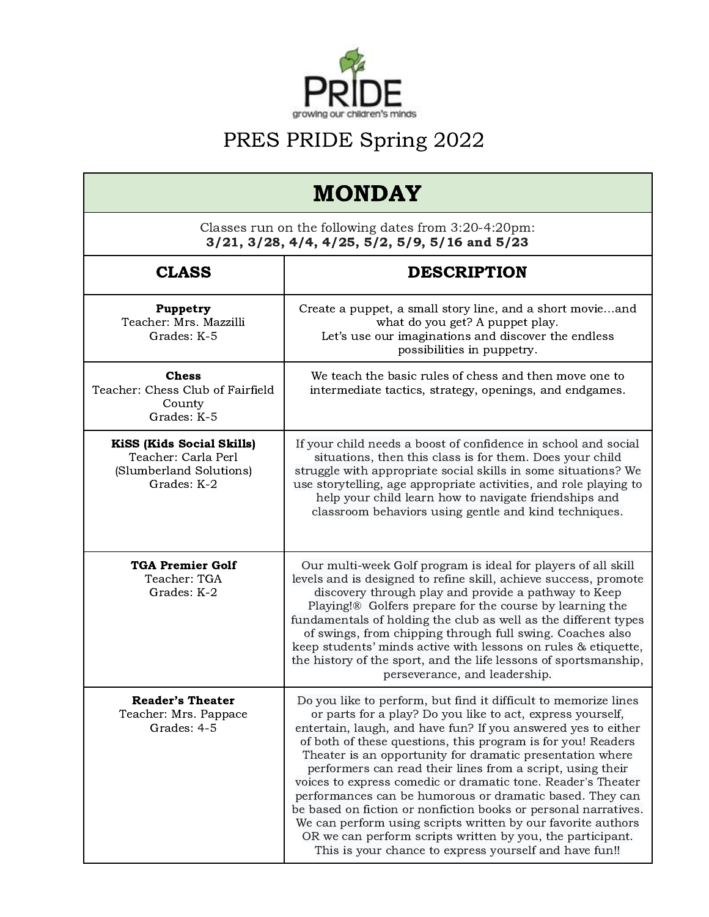

| <b>MONDAY</b>                                                                                              |                                                                                                                                                                                                                                                                                                                                                                                                                                                                                                                                                                                                                                                                                                                                                                                  |  |
|------------------------------------------------------------------------------------------------------------|----------------------------------------------------------------------------------------------------------------------------------------------------------------------------------------------------------------------------------------------------------------------------------------------------------------------------------------------------------------------------------------------------------------------------------------------------------------------------------------------------------------------------------------------------------------------------------------------------------------------------------------------------------------------------------------------------------------------------------------------------------------------------------|--|
| Classes run on the following dates from 3:20-4:20pm:<br>$3/21, 3/28, 4/4, 4/25, 5/2, 5/9, 5/16$ and $5/23$ |                                                                                                                                                                                                                                                                                                                                                                                                                                                                                                                                                                                                                                                                                                                                                                                  |  |
| <b>CLASS</b>                                                                                               | <b>DESCRIPTION</b>                                                                                                                                                                                                                                                                                                                                                                                                                                                                                                                                                                                                                                                                                                                                                               |  |
| Puppetry<br>Teacher: Mrs. Mazzilli<br>Grades: K-5                                                          | Create a puppet, a small story line, and a short movieand<br>what do you get? A puppet play.<br>Let's use our imaginations and discover the endless<br>possibilities in puppetry.                                                                                                                                                                                                                                                                                                                                                                                                                                                                                                                                                                                                |  |
| <b>Chess</b><br>Teacher: Chess Club of Fairfield<br>County<br>Grades: K-5                                  | We teach the basic rules of chess and then move one to<br>intermediate tactics, strategy, openings, and endgames.                                                                                                                                                                                                                                                                                                                                                                                                                                                                                                                                                                                                                                                                |  |
| <b>KiSS (Kids Social Skills)</b><br>Teacher: Carla Perl<br>(Slumberland Solutions)<br>Grades: K-2          | If your child needs a boost of confidence in school and social<br>situations, then this class is for them. Does your child<br>struggle with appropriate social skills in some situations? We<br>use storytelling, age appropriate activities, and role playing to<br>help your child learn how to navigate friendships and<br>classroom behaviors using gentle and kind techniques.                                                                                                                                                                                                                                                                                                                                                                                              |  |
| <b>TGA Premier Golf</b><br>Teacher: TGA<br>Grades: K-2                                                     | Our multi-week Golf program is ideal for players of all skill<br>levels and is designed to refine skill, achieve success, promote<br>discovery through play and provide a pathway to Keep<br>Playing!® Golfers prepare for the course by learning the<br>fundamentals of holding the club as well as the different types<br>of swings, from chipping through full swing. Coaches also<br>keep students' minds active with lessons on rules & etiquette,<br>the history of the sport, and the life lessons of sportsmanship,<br>perseverance, and leadership.                                                                                                                                                                                                                     |  |
| <b>Reader's Theater</b><br>Teacher: Mrs. Pappace<br>Grades: 4-5                                            | Do you like to perform, but find it difficult to memorize lines<br>or parts for a play? Do you like to act, express yourself,<br>entertain, laugh, and have fun? If you answered yes to either<br>of both of these questions, this program is for you! Readers<br>Theater is an opportunity for dramatic presentation where<br>performers can read their lines from a script, using their<br>voices to express comedic or dramatic tone. Reader's Theater<br>performances can be humorous or dramatic based. They can<br>be based on fiction or nonfiction books or personal narratives.<br>We can perform using scripts written by our favorite authors<br>OR we can perform scripts written by you, the participant.<br>This is your chance to express yourself and have fun!! |  |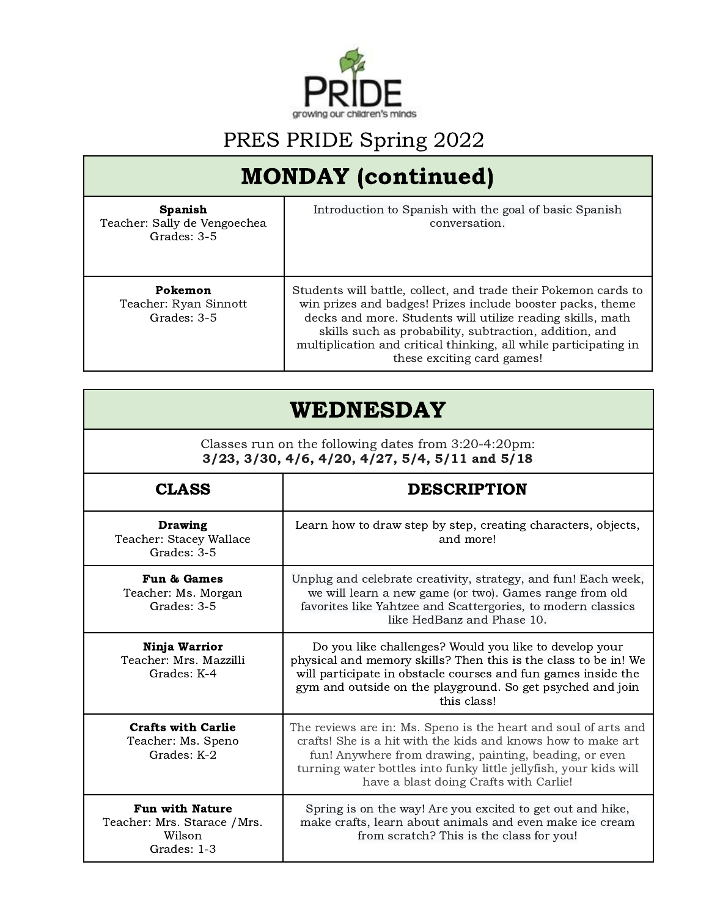

## MONDAY (continued)

| <b>Spanish</b><br>Teacher: Sally de Vengoechea<br>Grades: 3-5 | Introduction to Spanish with the goal of basic Spanish<br>conversation.                                                                                                                                                                                                                                                                                 |
|---------------------------------------------------------------|---------------------------------------------------------------------------------------------------------------------------------------------------------------------------------------------------------------------------------------------------------------------------------------------------------------------------------------------------------|
| Pokemon<br>Teacher: Ryan Sinnott<br>Grades: 3-5               | Students will battle, collect, and trade their Pokemon cards to<br>win prizes and badges! Prizes include booster packs, theme<br>decks and more. Students will utilize reading skills, math<br>skills such as probability, subtraction, addition, and<br>multiplication and critical thinking, all while participating in<br>these exciting card games! |

### WEDNESDAY

Classes run on the following dates from 3:20-4:20pm: 3/23, 3/30, 4/6, 4/20, 4/27, 5/4, 5/11 and 5/18

| <b>CLASS</b>                                                                    | <b>DESCRIPTION</b>                                                                                                                                                                                                                                                                                       |
|---------------------------------------------------------------------------------|----------------------------------------------------------------------------------------------------------------------------------------------------------------------------------------------------------------------------------------------------------------------------------------------------------|
| <b>Drawing</b><br>Teacher: Stacey Wallace<br>Grades: 3-5                        | Learn how to draw step by step, creating characters, objects,<br>and more!                                                                                                                                                                                                                               |
| Fun & Games<br>Teacher: Ms. Morgan<br>Grades: 3-5                               | Unplug and celebrate creativity, strategy, and fun! Each week,<br>we will learn a new game (or two). Games range from old<br>favorites like Yahtzee and Scattergories, to modern classics<br>like HedBanz and Phase 10.                                                                                  |
| Ninja Warrior<br>Teacher: Mrs. Mazzilli<br>Grades: K-4                          | Do you like challenges? Would you like to develop your<br>physical and memory skills? Then this is the class to be in! We<br>will participate in obstacle courses and fun games inside the<br>gym and outside on the playground. So get psyched and join<br>this class!                                  |
| <b>Crafts with Carlie</b><br>Teacher: Ms. Speno<br>Grades: K-2                  | The reviews are in: Ms. Speno is the heart and soul of arts and<br>crafts! She is a hit with the kids and knows how to make art<br>fun! Anywhere from drawing, painting, beading, or even<br>turning water bottles into funky little jellyfish, your kids will<br>have a blast doing Crafts with Carlie! |
| <b>Fun with Nature</b><br>Teacher: Mrs. Starace / Mrs.<br>Wilson<br>Grades: 1-3 | Spring is on the way! Are you excited to get out and hike,<br>make crafts, learn about animals and even make ice cream<br>from scratch? This is the class for you!                                                                                                                                       |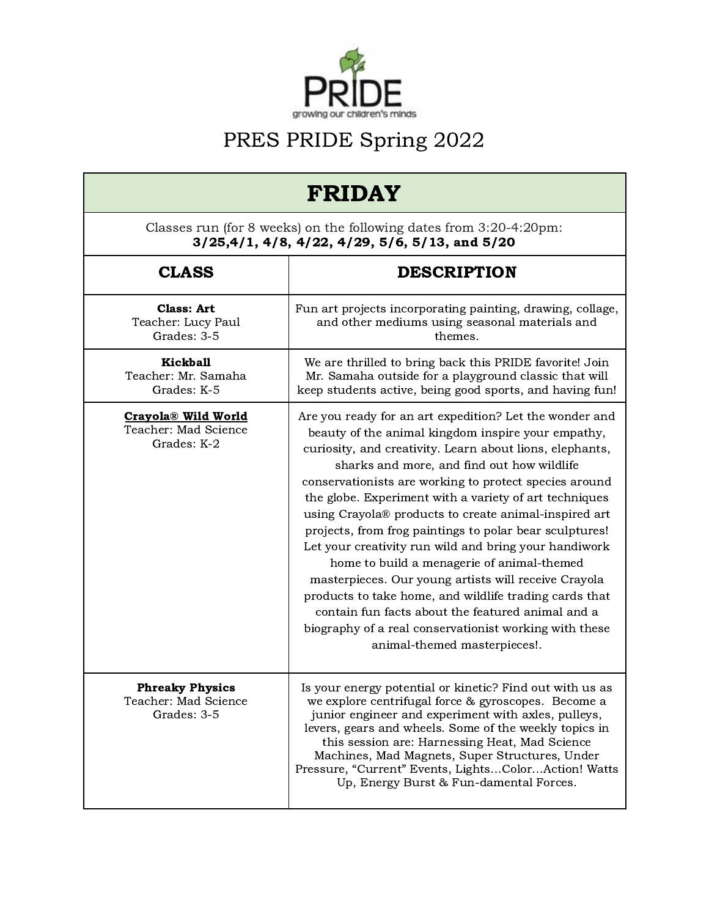

| <b>FRIDAY</b><br>Classes run (for 8 weeks) on the following dates from 3:20-4:20pm:<br>$3/25,4/1, 4/8, 4/22, 4/29, 5/6, 5/13,$ and $5/20$ |                                                                                                                                                                                                                                                                                                                                                                                                                                                                                                                                                                                                                                                                                                                                                                                                                                         |  |
|-------------------------------------------------------------------------------------------------------------------------------------------|-----------------------------------------------------------------------------------------------------------------------------------------------------------------------------------------------------------------------------------------------------------------------------------------------------------------------------------------------------------------------------------------------------------------------------------------------------------------------------------------------------------------------------------------------------------------------------------------------------------------------------------------------------------------------------------------------------------------------------------------------------------------------------------------------------------------------------------------|--|
|                                                                                                                                           |                                                                                                                                                                                                                                                                                                                                                                                                                                                                                                                                                                                                                                                                                                                                                                                                                                         |  |
| <b>Class: Art</b><br>Teacher: Lucy Paul<br>Grades: 3-5                                                                                    | Fun art projects incorporating painting, drawing, collage,<br>and other mediums using seasonal materials and<br>themes.                                                                                                                                                                                                                                                                                                                                                                                                                                                                                                                                                                                                                                                                                                                 |  |
| Kickball<br>Teacher: Mr. Samaha<br>Grades: K-5                                                                                            | We are thrilled to bring back this PRIDE favorite! Join<br>Mr. Samaha outside for a playground classic that will<br>keep students active, being good sports, and having fun!                                                                                                                                                                                                                                                                                                                                                                                                                                                                                                                                                                                                                                                            |  |
| Crayola <sup>®</sup> Wild World<br>Teacher: Mad Science<br>Grades: K-2                                                                    | Are you ready for an art expedition? Let the wonder and<br>beauty of the animal kingdom inspire your empathy,<br>curiosity, and creativity. Learn about lions, elephants,<br>sharks and more, and find out how wildlife<br>conservationists are working to protect species around<br>the globe. Experiment with a variety of art techniques<br>using Crayola® products to create animal-inspired art<br>projects, from frog paintings to polar bear sculptures!<br>Let your creativity run wild and bring your handiwork<br>home to build a menagerie of animal-themed<br>masterpieces. Our young artists will receive Crayola<br>products to take home, and wildlife trading cards that<br>contain fun facts about the featured animal and a<br>biography of a real conservationist working with these<br>animal-themed masterpieces!. |  |
| <b>Phreaky Physics</b><br>Teacher: Mad Science<br>Grades: 3-5                                                                             | Is your energy potential or kinetic? Find out with us as<br>we explore centrifugal force & gyroscopes. Become a<br>junior engineer and experiment with axles, pulleys,<br>levers, gears and wheels. Some of the weekly topics in<br>this session are: Harnessing Heat, Mad Science<br>Machines, Mad Magnets, Super Structures, Under<br>Pressure, "Current" Events, LightsColorAction! Watts<br>Up, Energy Burst & Fun-damental Forces.                                                                                                                                                                                                                                                                                                                                                                                                 |  |